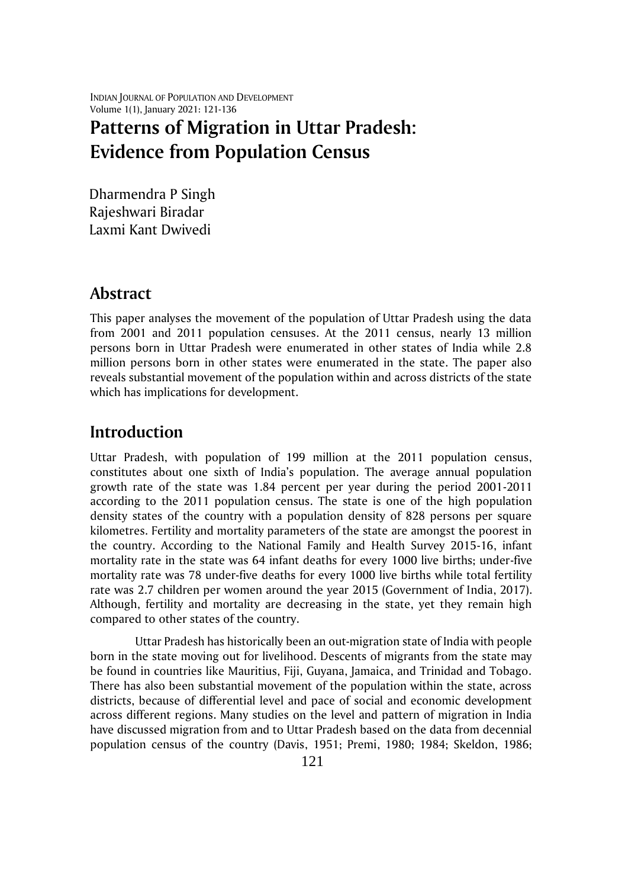INDIAN JOURNAL OF POPULATION AND DEVELOPMENT Volume 1(1), January 2021: 121-136

# **Patterns of Migration in Uttar Pradesh: Evidence from Population Census**

Dharmendra P Singh Rajeshwari Biradar Laxmi Kant Dwivedi

### **Abstract**

This paper analyses the movement of the population of Uttar Pradesh using the data from 2001 and 2011 population censuses. At the 2011 census, nearly 13 million persons born in Uttar Pradesh were enumerated in other states of India while 2.8 million persons born in other states were enumerated in the state. The paper also reveals substantial movement of the population within and across districts of the state which has implications for development.

### **Introduction**

Uttar Pradesh, with population of 199 million at the 2011 population census, constitutes about one sixth of India's population. The average annual population growth rate of the state was 1.84 percent per year during the period 2001-2011 according to the 2011 population census. The state is one of the high population density states of the country with a population density of 828 persons per square kilometres. Fertility and mortality parameters of the state are amongst the poorest in the country. According to the National Family and Health Survey 2015-16, infant mortality rate in the state was 64 infant deaths for every 1000 live births; under-five mortality rate was 78 under-five deaths for every 1000 live births while total fertility rate was 2.7 children per women around the year 2015 (Government of India, 2017). Although, fertility and mortality are decreasing in the state, yet they remain high compared to other states of the country.

Uttar Pradesh has historically been an out-migration state of India with people born in the state moving out for livelihood. Descents of migrants from the state may be found in countries like Mauritius, Fiji, Guyana, Jamaica, and Trinidad and Tobago. There has also been substantial movement of the population within the state, across districts, because of differential level and pace of social and economic development across different regions. Many studies on the level and pattern of migration in India have discussed migration from and to Uttar Pradesh based on the data from decennial population census of the country (Davis, 1951; Premi, 1980; 1984; Skeldon, 1986;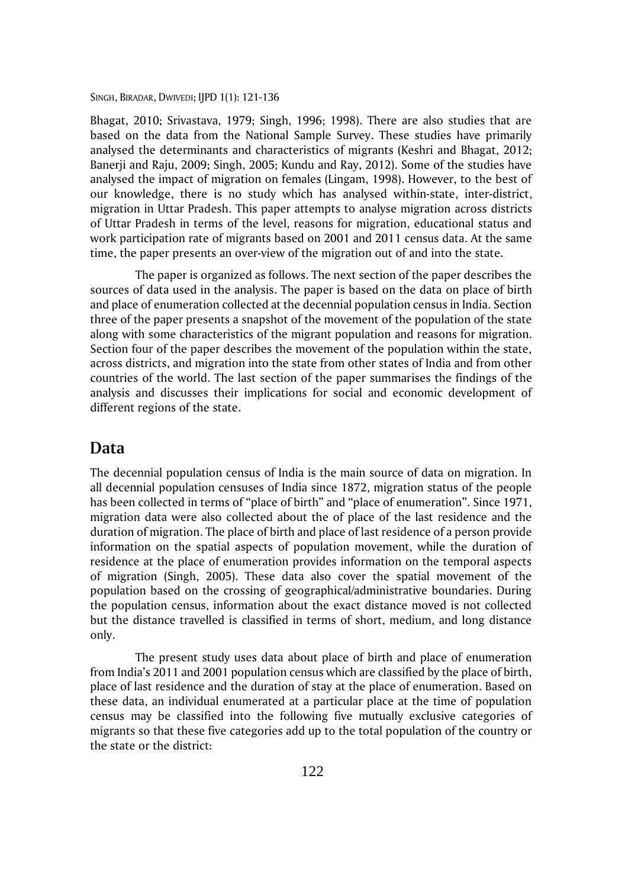Bhagat, 2010; Srivastava, 1979; Singh, 1996; 1998). There are also studies that are based on the data from the National Sample Survey. These studies have primarily analysed the determinants and characteristics of migrants (Keshri and Bhagat, 2012; Banerji and Raju, 2009; Singh, 2005; Kundu and Ray, 2012). Some of the studies have analysed the impact of migration on females (Lingam, 1998). However, to the best of our knowledge, there is no study which has analysed within-state, inter-district, migration in Uttar Pradesh. This paper attempts to analyse migration across districts of Uttar Pradesh in terms of the level, reasons for migration, educational status and work participation rate of migrants based on 2001 and 2011 census data. At the same time, the paper presents an over-view of the migration out of and into the state.

The paper is organized as follows. The next section of the paper describes the sources of data used in the analysis. The paper is based on the data on place of birth and place of enumeration collected at the decennial population census in India. Section three of the paper presents a snapshot of the movement of the population of the state along with some characteristics of the migrant population and reasons for migration. Section four of the paper describes the movement of the population within the state, across districts, and migration into the state from other states of India and from other countries of the world. The last section of the paper summarises the findings of the analysis and discusses their implications for social and economic development of different regions of the state.

### **Data**

The decennial population census of India is the main source of data on migration. In all decennial population censuses of India since 1872, migration status of the people has been collected in terms of "place of birth" and "place of enumeration". Since 1971, migration data were also collected about the of place of the last residence and the duration of migration. The place of birth and place of last residence of a person provide information on the spatial aspects of population movement, while the duration of residence at the place of enumeration provides information on the temporal aspects of migration (Singh, 2005). These data also cover the spatial movement of the population based on the crossing of geographical/administrative boundaries. During the population census, information about the exact distance moved is not collected but the distance travelled is classified in terms of short, medium, and long distance only.

The present study uses data about place of birth and place of enumeration from India's 2011 and 2001 population census which are classified by the place of birth, place of last residence and the duration of stay at the place of enumeration. Based on these data, an individual enumerated at a particular place at the time of population census may be classified into the following five mutually exclusive categories of migrants so that these five categories add up to the total population of the country or the state or the district: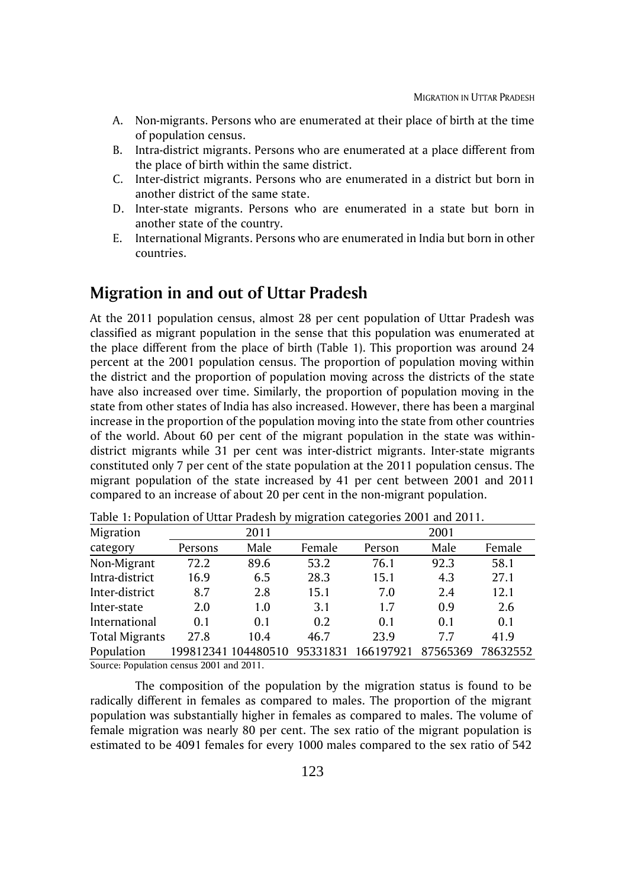- A. Non-migrants. Persons who are enumerated at their place of birth at the time of population census.
- B. Intra-district migrants. Persons who are enumerated at a place different from the place of birth within the same district.
- C. Inter-district migrants. Persons who are enumerated in a district but born in another district of the same state.
- D. Inter-state migrants. Persons who are enumerated in a state but born in another state of the country.
- E. International Migrants. Persons who are enumerated in India but born in other countries.

### **Migration in and out of Uttar Pradesh**

At the 2011 population census, almost 28 per cent population of Uttar Pradesh was classified as migrant population in the sense that this population was enumerated at the place different from the place of birth (Table 1). This proportion was around 24 percent at the 2001 population census. The proportion of population moving within the district and the proportion of population moving across the districts of the state have also increased over time. Similarly, the proportion of population moving in the state from other states of India has also increased. However, there has been a marginal increase in the proportion of the population moving into the state from other countries of the world. About 60 per cent of the migrant population in the state was withindistrict migrants while 31 per cent was inter-district migrants. Inter-state migrants constituted only 7 per cent of the state population at the 2011 population census. The migrant population of the state increased by 41 per cent between 2001 and 2011 compared to an increase of about 20 per cent in the non-migrant population.

| Migration             |         | 2011                |          |           | 2001     |          |
|-----------------------|---------|---------------------|----------|-----------|----------|----------|
| category              | Persons | Male                | Female   | Person    | Male     | Female   |
| Non-Migrant           | 72.2    | 89.6                | 53.2     | 76.1      | 92.3     | 58.1     |
| Intra-district        | 16.9    | 6.5                 | 28.3     | 15.1      | 4.3      | 27.1     |
| Inter-district        | 8.7     | 2.8                 | 15.1     | 7.0       | 2.4      | 12.1     |
| Inter-state           | 2.0     | 1.0                 | 3.1      | 1.7       | 0.9      | 2.6      |
| International         | 0.1     | 0.1                 | 0.2      | 0.1       | 0.1      | 0.1      |
| <b>Total Migrants</b> | 27.8    | 10.4                | 46.7     | 23.9      | 7.7      | 41.9     |
| Population            |         | 199812341 104480510 | 95331831 | 166197921 | 87565369 | 78632552 |
| 0.0011                |         |                     |          |           |          |          |

Table 1: Population of Uttar Pradesh by migration categories 2001 and 2011.

Source: Population census 2001 and 2011.

The composition of the population by the migration status is found to be radically different in females as compared to males. The proportion of the migrant population was substantially higher in females as compared to males. The volume of female migration was nearly 80 per cent. The sex ratio of the migrant population is estimated to be 4091 females for every 1000 males compared to the sex ratio of 542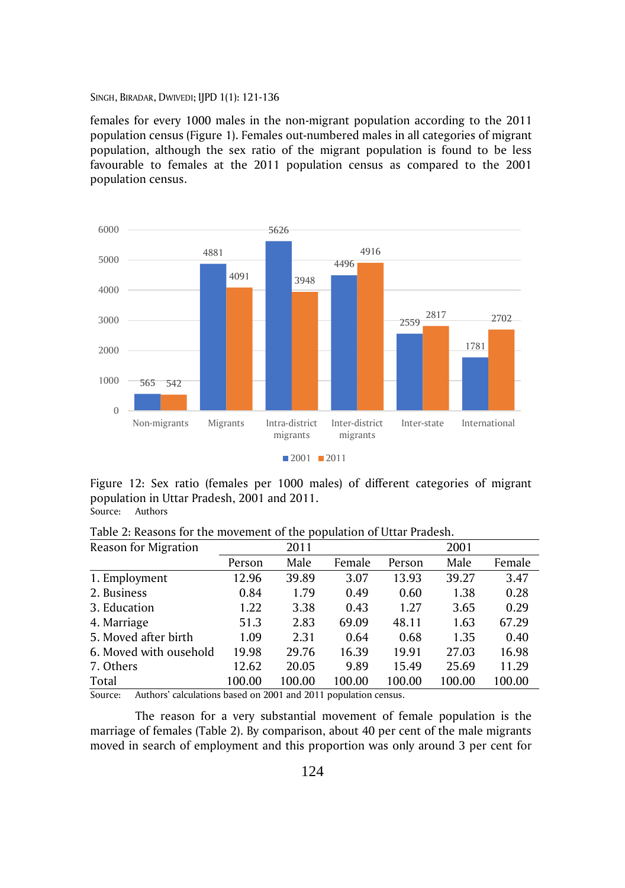females for every 1000 males in the non-migrant population according to the 2011 population census (Figure 1). Females out-numbered males in all categories of migrant population, although the sex ratio of the migrant population is found to be less favourable to females at the 2011 population census as compared to the 2001 population census.



Figure 12: Sex ratio (females per 1000 males) of different categories of migrant population in Uttar Pradesh, 2001 and 2011. Source: Authors

|--|

| Reason for Migration   |        | 2011   |        |        | 2001   |        |
|------------------------|--------|--------|--------|--------|--------|--------|
|                        | Person | Male   | Female | Person | Male   | Female |
| 1. Employment          | 12.96  | 39.89  | 3.07   | 13.93  | 39.27  | 3.47   |
| 2. Business            | 0.84   | 1.79   | 0.49   | 0.60   | 1.38   | 0.28   |
| 3. Education           | 1.22   | 3.38   | 0.43   | 1.27   | 3.65   | 0.29   |
| 4. Marriage            | 51.3   | 2.83   | 69.09  | 48.11  | 1.63   | 67.29  |
| 5. Moved after birth   | 1.09   | 2.31   | 0.64   | 0.68   | 1.35   | 0.40   |
| 6. Moved with ousehold | 19.98  | 29.76  | 16.39  | 19.91  | 27.03  | 16.98  |
| 7. Others              | 12.62  | 20.05  | 9.89   | 15.49  | 25.69  | 11.29  |
| Total                  | 100.00 | 100.00 | 100.00 | 100.00 | 100.00 | 100.00 |

Source: Authors' calculations based on 2001 and 2011 population census.

The reason for a very substantial movement of female population is the marriage of females (Table 2). By comparison, about 40 per cent of the male migrants moved in search of employment and this proportion was only around 3 per cent for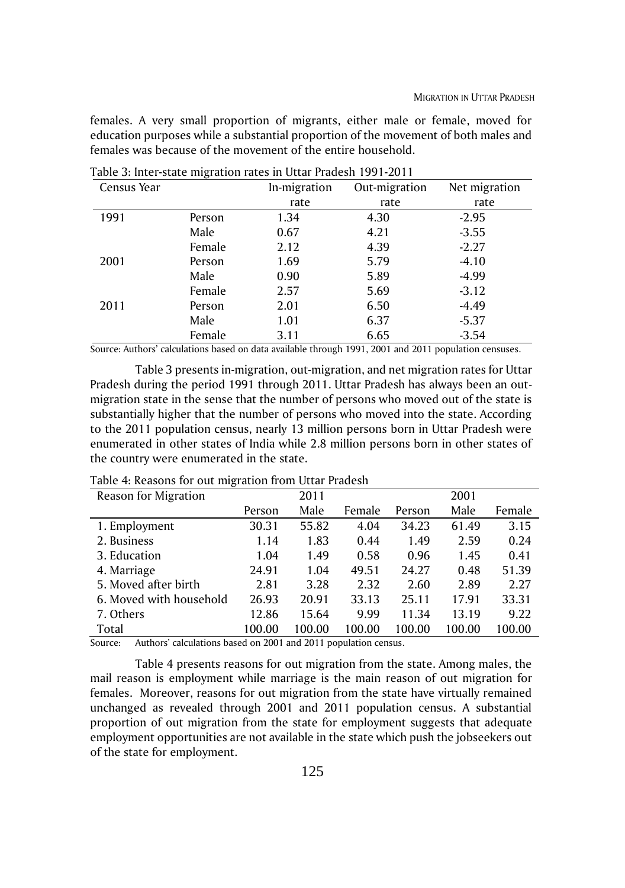females. A very small proportion of migrants, either male or female, moved for education purposes while a substantial proportion of the movement of both males and females was because of the movement of the entire household.

| Census Year |        | In-migration | Out-migration | Net migration |
|-------------|--------|--------------|---------------|---------------|
|             |        | rate         | rate          | rate          |
| 1991        | Person | 1.34         | 4.30          | $-2.95$       |
|             | Male   | 0.67         | 4.21          | $-3.55$       |
|             | Female | 2.12         | 4.39          | $-2.27$       |
| 2001        | Person | 1.69         | 5.79          | $-4.10$       |
|             | Male   | 0.90         | 5.89          | $-4.99$       |
|             | Female | 2.57         | 5.69          | $-3.12$       |
| 2011        | Person | 2.01         | 6.50          | $-4.49$       |
|             | Male   | 1.01         | 6.37          | $-5.37$       |
|             | Female | 3.11         | 6.65          | $-3.54$       |

Table 3: Inter-state migration rates in Uttar Pradesh 1991-2011

Source: Authors' calculations based on data available through 1991, 2001 and 2011 population censuses.

Table 3 presents in-migration, out-migration, and net migration rates for Uttar Pradesh during the period 1991 through 2011. Uttar Pradesh has always been an outmigration state in the sense that the number of persons who moved out of the state is substantially higher that the number of persons who moved into the state. According to the 2011 population census, nearly 13 million persons born in Uttar Pradesh were enumerated in other states of India while 2.8 million persons born in other states of the country were enumerated in the state.

| ັ<br>Reason for Migration |        | 2011   |        |        | 2001   |        |
|---------------------------|--------|--------|--------|--------|--------|--------|
|                           | Person | Male   | Female | Person | Male   | Female |
| 1. Employment             | 30.31  | 55.82  | 4.04   | 34.23  | 61.49  | 3.15   |
| 2. Business               | 1.14   | 1.83   | 0.44   | 1.49   | 2.59   | 0.24   |
| 3. Education              | 1.04   | 1.49   | 0.58   | 0.96   | 1.45   | 0.41   |
| 4. Marriage               | 24.91  | 1.04   | 49.51  | 24.27  | 0.48   | 51.39  |
| 5. Moved after birth      | 2.81   | 3.28   | 2.32   | 2.60   | 2.89   | 2.27   |
| 6. Moved with household   | 26.93  | 20.91  | 33.13  | 25.11  | 17.91  | 33.31  |
| 7. Others                 | 12.86  | 15.64  | 9.99   | 11.34  | 13.19  | 9.22   |
| Total                     | 100.00 | 100.00 | 100.00 | 100.00 | 100.00 | 100.00 |

Table 4: Reasons for out migration from Uttar Pradesh

Source: Authors' calculations based on 2001 and 2011 population census.

Table 4 presents reasons for out migration from the state. Among males, the mail reason is employment while marriage is the main reason of out migration for females. Moreover, reasons for out migration from the state have virtually remained unchanged as revealed through 2001 and 2011 population census. A substantial proportion of out migration from the state for employment suggests that adequate employment opportunities are not available in the state which push the jobseekers out of the state for employment.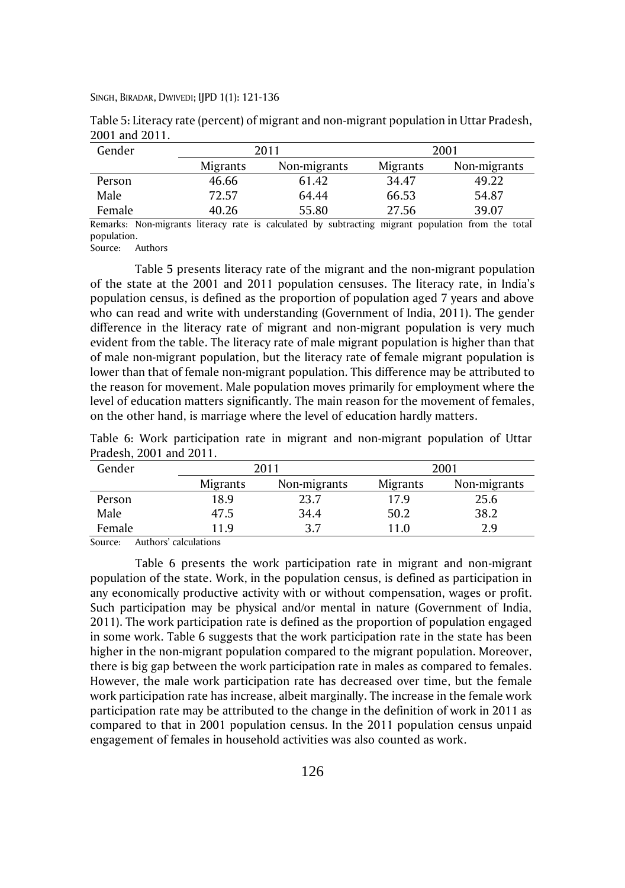| Gender |          | 2011         |          | 2001         |
|--------|----------|--------------|----------|--------------|
|        | Migrants | Non-migrants | Migrants | Non-migrants |
| Person | 46.66    | 61.42        | 34.47    | 49.22        |
| Male   | 72.57    | 64.44        | 66.53    | 54.87        |
| Female | 40.26    | 55.80        | 27.56    | 39.07        |

Table 5: Literacy rate (percent) of migrant and non-migrant population in Uttar Pradesh, 2001 and 2011.

Remarks: Non-migrants literacy rate is calculated by subtracting migrant population from the total population.

Source: Authors

Table 5 presents literacy rate of the migrant and the non-migrant population of the state at the 2001 and 2011 population censuses. The literacy rate, in India's population census, is defined as the proportion of population aged 7 years and above who can read and write with understanding (Government of India, 2011). The gender difference in the literacy rate of migrant and non-migrant population is very much evident from the table. The literacy rate of male migrant population is higher than that of male non-migrant population, but the literacy rate of female migrant population is lower than that of female non-migrant population. This difference may be attributed to the reason for movement. Male population moves primarily for employment where the level of education matters significantly. The main reason for the movement of females, on the other hand, is marriage where the level of education hardly matters.

Table 6: Work participation rate in migrant and non-migrant population of Uttar Pradesh, 2001 and 2011.

| Gender               |          | 2011         | 2001     |              |  |
|----------------------|----------|--------------|----------|--------------|--|
|                      | Migrants | Non-migrants | Migrants | Non-migrants |  |
| Person               | 18.9     | 23.7         | 17.9     | 25.6         |  |
| Male                 | 47.5     | 34.4         | 50.2     | 38.2         |  |
| Female               | 1.9      | 27           | 1.0      | 2 d          |  |
| $\sim$ $\sim$ $\sim$ | .        |              |          |              |  |

Source: Authors' calculations

Table 6 presents the work participation rate in migrant and non-migrant population of the state. Work, in the population census, is defined as participation in any economically productive activity with or without compensation, wages or profit. Such participation may be physical and/or mental in nature (Government of India, 2011). The work participation rate is defined as the proportion of population engaged in some work. Table 6 suggests that the work participation rate in the state has been higher in the non-migrant population compared to the migrant population. Moreover, there is big gap between the work participation rate in males as compared to females. However, the male work participation rate has decreased over time, but the female work participation rate has increase, albeit marginally. The increase in the female work participation rate may be attributed to the change in the definition of work in 2011 as compared to that in 2001 population census. In the 2011 population census unpaid engagement of females in household activities was also counted as work.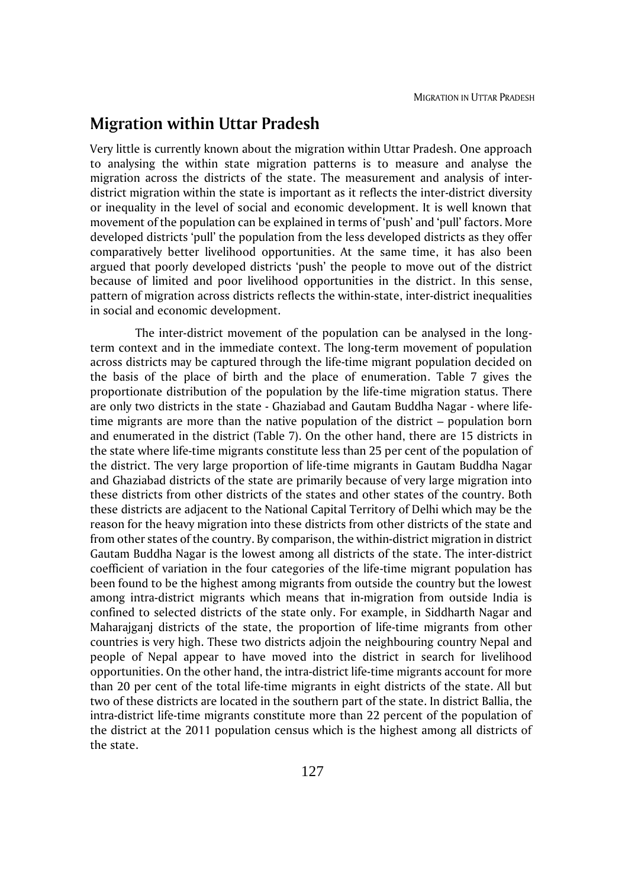### **Migration within Uttar Pradesh**

Very little is currently known about the migration within Uttar Pradesh. One approach to analysing the within state migration patterns is to measure and analyse the migration across the districts of the state. The measurement and analysis of interdistrict migration within the state is important as it reflects the inter-district diversity or inequality in the level of social and economic development. It is well known that movement of the population can be explained in terms of 'push' and 'pull' factors. More developed districts 'pull' the population from the less developed districts as they offer comparatively better livelihood opportunities. At the same time, it has also been argued that poorly developed districts 'push' the people to move out of the district because of limited and poor livelihood opportunities in the district. In this sense, pattern of migration across districts reflects the within-state, inter-district inequalities in social and economic development.

The inter-district movement of the population can be analysed in the longterm context and in the immediate context. The long-term movement of population across districts may be captured through the life-time migrant population decided on the basis of the place of birth and the place of enumeration. Table 7 gives the proportionate distribution of the population by the life-time migration status. There are only two districts in the state - Ghaziabad and Gautam Buddha Nagar - where lifetime migrants are more than the native population of the district – population born and enumerated in the district (Table 7). On the other hand, there are 15 districts in the state where life-time migrants constitute less than 25 per cent of the population of the district. The very large proportion of life-time migrants in Gautam Buddha Nagar and Ghaziabad districts of the state are primarily because of very large migration into these districts from other districts of the states and other states of the country. Both these districts are adjacent to the National Capital Territory of Delhi which may be the reason for the heavy migration into these districts from other districts of the state and from other states of the country. By comparison, the within-district migration in district Gautam Buddha Nagar is the lowest among all districts of the state. The inter-district coefficient of variation in the four categories of the life-time migrant population has been found to be the highest among migrants from outside the country but the lowest among intra-district migrants which means that in-migration from outside India is confined to selected districts of the state only. For example, in Siddharth Nagar and Maharajganj districts of the state, the proportion of life-time migrants from other countries is very high. These two districts adjoin the neighbouring country Nepal and people of Nepal appear to have moved into the district in search for livelihood opportunities. On the other hand, the intra-district life-time migrants account for more than 20 per cent of the total life-time migrants in eight districts of the state. All but two of these districts are located in the southern part of the state. In district Ballia, the intra-district life-time migrants constitute more than 22 percent of the population of the district at the 2011 population census which is the highest among all districts of the state.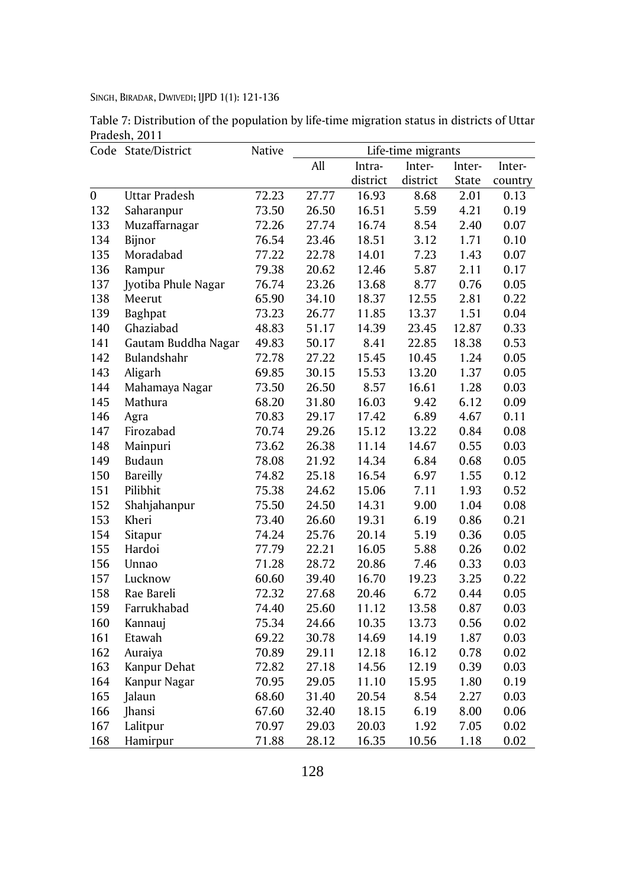Table 7: Distribution of the population by life-time migration status in districts of Uttar Pradesh, 2011

|                  | Code State/District  | Native |       |          | Life-time migrants |        |         |
|------------------|----------------------|--------|-------|----------|--------------------|--------|---------|
|                  |                      |        | All   | Intra-   | Inter-             | Inter- | Inter-  |
|                  |                      |        |       | district | district           | State  | country |
| $\boldsymbol{0}$ | <b>Uttar Pradesh</b> | 72.23  | 27.77 | 16.93    | 8.68               | 2.01   | 0.13    |
| 132              | Saharanpur           | 73.50  | 26.50 | 16.51    | 5.59               | 4.21   | 0.19    |
| 133              | Muzaffarnagar        | 72.26  | 27.74 | 16.74    | 8.54               | 2.40   | 0.07    |
| 134              | Bijnor               | 76.54  | 23.46 | 18.51    | 3.12               | 1.71   | 0.10    |
| 135              | Moradabad            | 77.22  | 22.78 | 14.01    | 7.23               | 1.43   | 0.07    |
| 136              | Rampur               | 79.38  | 20.62 | 12.46    | 5.87               | 2.11   | 0.17    |
| 137              | Jyotiba Phule Nagar  | 76.74  | 23.26 | 13.68    | 8.77               | 0.76   | 0.05    |
| 138              | Meerut               | 65.90  | 34.10 | 18.37    | 12.55              | 2.81   | 0.22    |
| 139              | Baghpat              | 73.23  | 26.77 | 11.85    | 13.37              | 1.51   | 0.04    |
| 140              | Ghaziabad            | 48.83  | 51.17 | 14.39    | 23.45              | 12.87  | 0.33    |
| 141              | Gautam Buddha Nagar  | 49.83  | 50.17 | 8.41     | 22.85              | 18.38  | 0.53    |
| 142              | Bulandshahr          | 72.78  | 27.22 | 15.45    | 10.45              | 1.24   | 0.05    |
| 143              | Aligarh              | 69.85  | 30.15 | 15.53    | 13.20              | 1.37   | 0.05    |
| 144              | Mahamaya Nagar       | 73.50  | 26.50 | 8.57     | 16.61              | 1.28   | 0.03    |
| 145              | Mathura              | 68.20  | 31.80 | 16.03    | 9.42               | 6.12   | 0.09    |
| 146              | Agra                 | 70.83  | 29.17 | 17.42    | 6.89               | 4.67   | 0.11    |
| 147              | Firozabad            | 70.74  | 29.26 | 15.12    | 13.22              | 0.84   | 0.08    |
| 148              | Mainpuri             | 73.62  | 26.38 | 11.14    | 14.67              | 0.55   | 0.03    |
| 149              | Budaun               | 78.08  | 21.92 | 14.34    | 6.84               | 0.68   | 0.05    |
| 150              | <b>Bareilly</b>      | 74.82  | 25.18 | 16.54    | 6.97               | 1.55   | 0.12    |
| 151              | Pilibhit             | 75.38  | 24.62 | 15.06    | 7.11               | 1.93   | 0.52    |
| 152              | Shahjahanpur         | 75.50  | 24.50 | 14.31    | 9.00               | 1.04   | 0.08    |
| 153              | Kheri                | 73.40  | 26.60 | 19.31    | 6.19               | 0.86   | 0.21    |
| 154              | Sitapur              | 74.24  | 25.76 | 20.14    | 5.19               | 0.36   | 0.05    |
| 155              | Hardoi               | 77.79  | 22.21 | 16.05    | 5.88               | 0.26   | 0.02    |
| 156              | Unnao                | 71.28  | 28.72 | 20.86    | 7.46               | 0.33   | 0.03    |
| 157              | Lucknow              | 60.60  | 39.40 | 16.70    | 19.23              | 3.25   | 0.22    |
| 158              | Rae Bareli           | 72.32  | 27.68 | 20.46    | 6.72               | 0.44   | 0.05    |
| 159              | Farrukhabad          | 74.40  | 25.60 | 11.12    | 13.58              | 0.87   | 0.03    |
| 160              | Kannauj              | 75.34  | 24.66 | 10.35    | 13.73              | 0.56   | 0.02    |
| 161              | Etawah               | 69.22  | 30.78 | 14.69    | 14.19              | 1.87   | 0.03    |
| 162              | Auraiya              | 70.89  | 29.11 | 12.18    | 16.12              | 0.78   | 0.02    |
| 163              | Kanpur Dehat         | 72.82  | 27.18 | 14.56    | 12.19              | 0.39   | 0.03    |
| 164              | Kanpur Nagar         | 70.95  | 29.05 | 11.10    | 15.95              | 1.80   | 0.19    |
| 165              | Jalaun               | 68.60  | 31.40 | 20.54    | 8.54               | 2.27   | 0.03    |
| 166              | Jhansi               | 67.60  | 32.40 | 18.15    | 6.19               | 8.00   | 0.06    |
| 167              | Lalitpur             | 70.97  | 29.03 | 20.03    | 1.92               | 7.05   | 0.02    |
| 168              | Hamirpur             | 71.88  | 28.12 | 16.35    | 10.56              | 1.18   | 0.02    |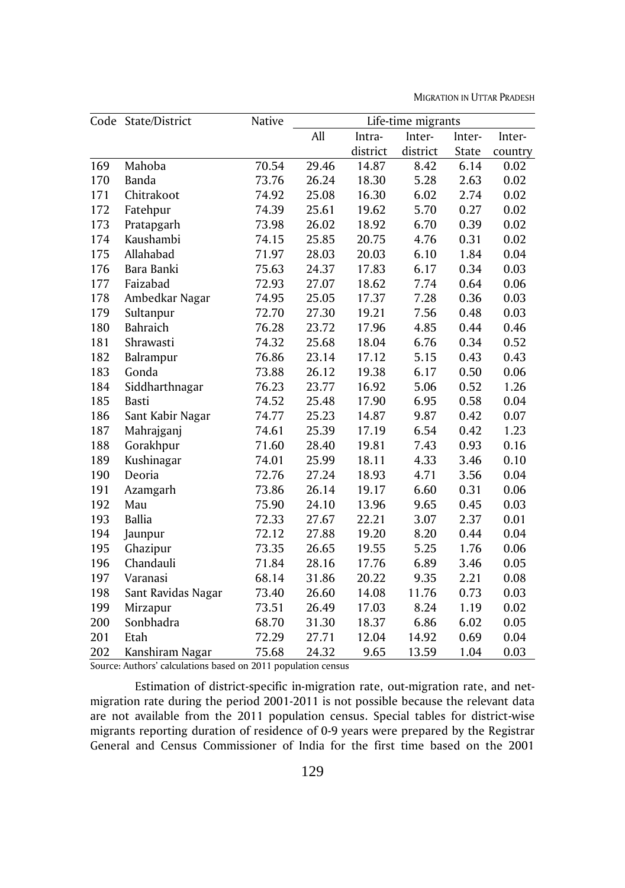MIGRATION IN UTTAR PRADESH

|     | Code State/District | Native | Life-time migrants |          |          |        |         |
|-----|---------------------|--------|--------------------|----------|----------|--------|---------|
|     |                     |        | All                | Intra-   | Inter-   | Inter- | Inter-  |
|     |                     |        |                    | district | district | State  | country |
| 169 | Mahoba              | 70.54  | 29.46              | 14.87    | 8.42     | 6.14   | 0.02    |
| 170 | Banda               | 73.76  | 26.24              | 18.30    | 5.28     | 2.63   | 0.02    |
| 171 | Chitrakoot          | 74.92  | 25.08              | 16.30    | 6.02     | 2.74   | 0.02    |
| 172 | Fatehpur            | 74.39  | 25.61              | 19.62    | 5.70     | 0.27   | 0.02    |
| 173 | Pratapgarh          | 73.98  | 26.02              | 18.92    | 6.70     | 0.39   | 0.02    |
| 174 | Kaushambi           | 74.15  | 25.85              | 20.75    | 4.76     | 0.31   | 0.02    |
| 175 | Allahabad           | 71.97  | 28.03              | 20.03    | 6.10     | 1.84   | 0.04    |
| 176 | Bara Banki          | 75.63  | 24.37              | 17.83    | 6.17     | 0.34   | 0.03    |
| 177 | Faizabad            | 72.93  | 27.07              | 18.62    | 7.74     | 0.64   | 0.06    |
| 178 | Ambedkar Nagar      | 74.95  | 25.05              | 17.37    | 7.28     | 0.36   | 0.03    |
| 179 | Sultanpur           | 72.70  | 27.30              | 19.21    | 7.56     | 0.48   | 0.03    |
| 180 | <b>Bahraich</b>     | 76.28  | 23.72              | 17.96    | 4.85     | 0.44   | 0.46    |
| 181 | Shrawasti           | 74.32  | 25.68              | 18.04    | 6.76     | 0.34   | 0.52    |
| 182 | Balrampur           | 76.86  | 23.14              | 17.12    | 5.15     | 0.43   | 0.43    |
| 183 | Gonda               | 73.88  | 26.12              | 19.38    | 6.17     | 0.50   | 0.06    |
| 184 | Siddharthnagar      | 76.23  | 23.77              | 16.92    | 5.06     | 0.52   | 1.26    |
| 185 | Basti               | 74.52  | 25.48              | 17.90    | 6.95     | 0.58   | 0.04    |
| 186 | Sant Kabir Nagar    | 74.77  | 25.23              | 14.87    | 9.87     | 0.42   | 0.07    |
| 187 | Mahrajganj          | 74.61  | 25.39              | 17.19    | 6.54     | 0.42   | 1.23    |
| 188 | Gorakhpur           | 71.60  | 28.40              | 19.81    | 7.43     | 0.93   | 0.16    |
| 189 | Kushinagar          | 74.01  | 25.99              | 18.11    | 4.33     | 3.46   | 0.10    |
| 190 | Deoria              | 72.76  | 27.24              | 18.93    | 4.71     | 3.56   | 0.04    |
| 191 | Azamgarh            | 73.86  | 26.14              | 19.17    | 6.60     | 0.31   | 0.06    |
| 192 | Mau                 | 75.90  | 24.10              | 13.96    | 9.65     | 0.45   | 0.03    |
| 193 | <b>Ballia</b>       | 72.33  | 27.67              | 22.21    | 3.07     | 2.37   | 0.01    |
| 194 | Jaunpur             | 72.12  | 27.88              | 19.20    | 8.20     | 0.44   | 0.04    |
| 195 | Ghazipur            | 73.35  | 26.65              | 19.55    | 5.25     | 1.76   | 0.06    |
| 196 | Chandauli           | 71.84  | 28.16              | 17.76    | 6.89     | 3.46   | 0.05    |
| 197 | Varanasi            | 68.14  | 31.86              | 20.22    | 9.35     | 2.21   | 0.08    |
| 198 | Sant Ravidas Nagar  | 73.40  | 26.60              | 14.08    | 11.76    | 0.73   | 0.03    |
| 199 | Mirzapur            | 73.51  | 26.49              | 17.03    | 8.24     | 1.19   | 0.02    |
| 200 | Sonbhadra           | 68.70  | 31.30              | 18.37    | 6.86     | 6.02   | 0.05    |
| 201 | Etah                | 72.29  | 27.71              | 12.04    | 14.92    | 0.69   | 0.04    |
| 202 | Kanshiram Nagar     | 75.68  | 24.32              | 9.65     | 13.59    | 1.04   | 0.03    |

Source: Authors' calculations based on 2011 population census

Estimation of district-specific in-migration rate, out-migration rate, and netmigration rate during the period 2001-2011 is not possible because the relevant data are not available from the 2011 population census. Special tables for district-wise migrants reporting duration of residence of 0-9 years were prepared by the Registrar General and Census Commissioner of India for the first time based on the 2001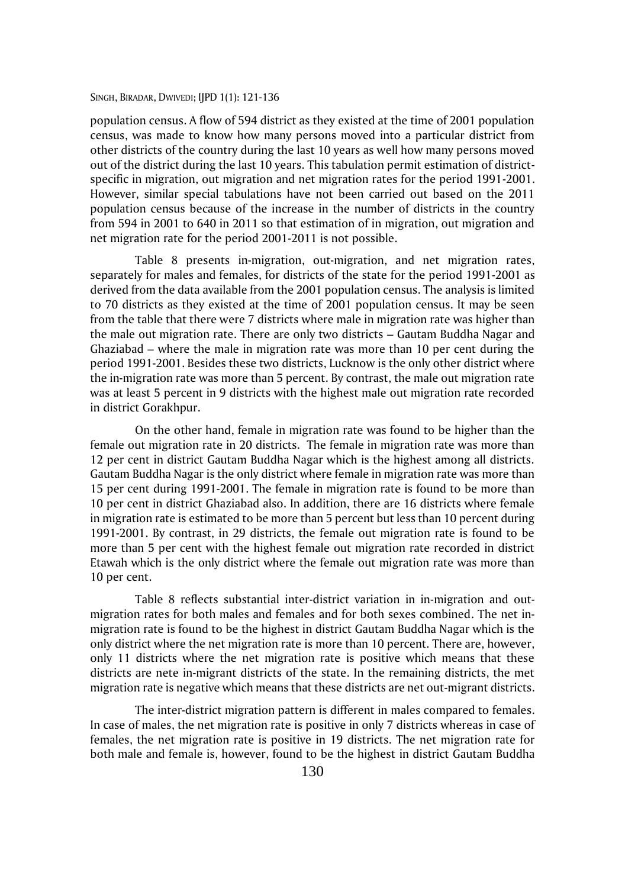population census. A flow of 594 district as they existed at the time of 2001 population census, was made to know how many persons moved into a particular district from other districts of the country during the last 10 years as well how many persons moved out of the district during the last 10 years. This tabulation permit estimation of districtspecific in migration, out migration and net migration rates for the period 1991-2001. However, similar special tabulations have not been carried out based on the 2011 population census because of the increase in the number of districts in the country from 594 in 2001 to 640 in 2011 so that estimation of in migration, out migration and net migration rate for the period 2001-2011 is not possible.

Table 8 presents in-migration, out-migration, and net migration rates, separately for males and females, for districts of the state for the period 1991-2001 as derived from the data available from the 2001 population census. The analysis is limited to 70 districts as they existed at the time of 2001 population census. It may be seen from the table that there were 7 districts where male in migration rate was higher than the male out migration rate. There are only two districts – Gautam Buddha Nagar and Ghaziabad – where the male in migration rate was more than 10 per cent during the period 1991-2001. Besides these two districts, Lucknow is the only other district where the in-migration rate was more than 5 percent. By contrast, the male out migration rate was at least 5 percent in 9 districts with the highest male out migration rate recorded in district Gorakhpur.

On the other hand, female in migration rate was found to be higher than the female out migration rate in 20 districts. The female in migration rate was more than 12 per cent in district Gautam Buddha Nagar which is the highest among all districts. Gautam Buddha Nagar is the only district where female in migration rate was more than 15 per cent during 1991-2001. The female in migration rate is found to be more than 10 per cent in district Ghaziabad also. In addition, there are 16 districts where female in migration rate is estimated to be more than 5 percent but less than 10 percent during 1991-2001. By contrast, in 29 districts, the female out migration rate is found to be more than 5 per cent with the highest female out migration rate recorded in district Etawah which is the only district where the female out migration rate was more than 10 per cent.

Table 8 reflects substantial inter-district variation in in-migration and outmigration rates for both males and females and for both sexes combined. The net inmigration rate is found to be the highest in district Gautam Buddha Nagar which is the only district where the net migration rate is more than 10 percent. There are, however, only 11 districts where the net migration rate is positive which means that these districts are nete in-migrant districts of the state. In the remaining districts, the met migration rate is negative which means that these districts are net out-migrant districts.

The inter-district migration pattern is different in males compared to females. In case of males, the net migration rate is positive in only 7 districts whereas in case of females, the net migration rate is positive in 19 districts. The net migration rate for both male and female is, however, found to be the highest in district Gautam Buddha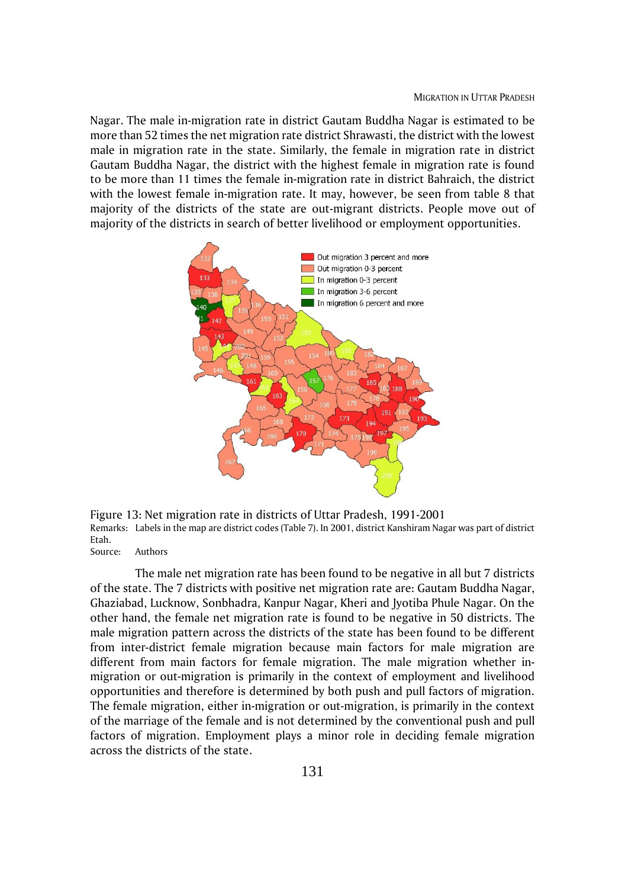Nagar. The male in-migration rate in district Gautam Buddha Nagar is estimated to be more than 52 times the net migration rate district Shrawasti, the district with the lowest male in migration rate in the state. Similarly, the female in migration rate in district Gautam Buddha Nagar, the district with the highest female in migration rate is found to be more than 11 times the female in-migration rate in district Bahraich, the district with the lowest female in-migration rate. It may, however, be seen from table 8 that majority of the districts of the state are out-migrant districts. People move out of majority of the districts in search of better livelihood or employment opportunities.



Figure 13: Net migration rate in districts of Uttar Pradesh, 1991-2001 Remarks: Labels in the map are district codes (Table 7). In 2001, district Kanshiram Nagar was part of district Etah.

Source: Authors

The male net migration rate has been found to be negative in all but 7 districts of the state. The 7 districts with positive net migration rate are: Gautam Buddha Nagar, Ghaziabad, Lucknow, Sonbhadra, Kanpur Nagar, Kheri and Jyotiba Phule Nagar. On the other hand, the female net migration rate is found to be negative in 50 districts. The male migration pattern across the districts of the state has been found to be different from inter-district female migration because main factors for male migration are different from main factors for female migration. The male migration whether inmigration or out-migration is primarily in the context of employment and livelihood opportunities and therefore is determined by both push and pull factors of migration. The female migration, either in-migration or out-migration, is primarily in the context of the marriage of the female and is not determined by the conventional push and pull factors of migration. Employment plays a minor role in deciding female migration across the districts of the state.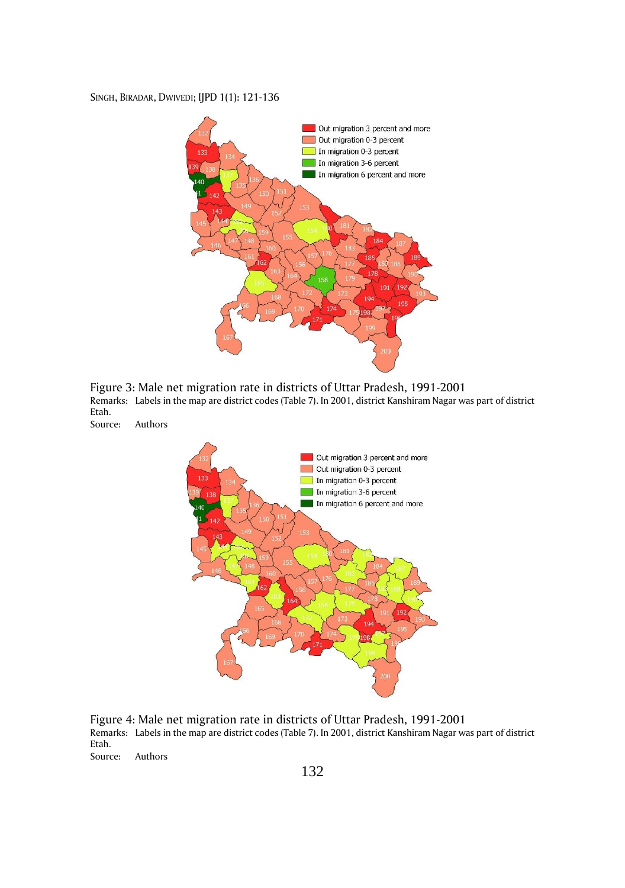

Figure 3: Male net migration rate in districts of Uttar Pradesh, 1991-2001 Remarks: Labels in the map are district codes (Table 7). In 2001, district Kanshiram Nagar was part of district Etah.

Source: Authors



Figure 4: Male net migration rate in districts of Uttar Pradesh, 1991-2001 Remarks: Labels in the map are district codes (Table 7). In 2001, district Kanshiram Nagar was part of district Etah. Source: Authors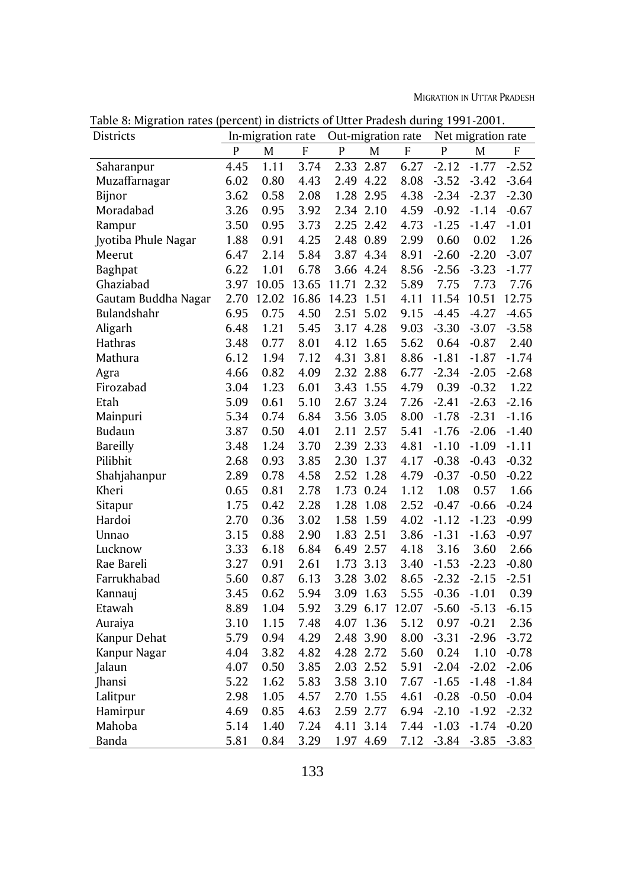| Districts           |              | In-migration rate |       | Out-migration rate |           |       |              | Net migration rate |         |
|---------------------|--------------|-------------------|-------|--------------------|-----------|-------|--------------|--------------------|---------|
|                     | $\mathsf{P}$ | M                 | F     | P                  | M         | F     | $\mathsf{P}$ | M                  | F       |
| Saharanpur          | 4.45         | 1.11              | 3.74  | 2.33               | 2.87      | 6.27  | $-2.12$      | $-1.77$            | $-2.52$ |
| Muzaffarnagar       | 6.02         | 0.80              | 4.43  |                    | 2.49 4.22 | 8.08  | $-3.52$      | $-3.42$            | $-3.64$ |
| Bijnor              | 3.62         | 0.58              | 2.08  |                    | 1.28 2.95 | 4.38  | $-2.34$      | $-2.37$            | $-2.30$ |
| Moradabad           | 3.26         | 0.95              | 3.92  | 2.34               | 2.10      | 4.59  | $-0.92$      | $-1.14$            | $-0.67$ |
| Rampur              | 3.50         | 0.95              | 3.73  |                    | 2.25 2.42 | 4.73  | $-1.25$      | $-1.47$            | $-1.01$ |
| Jyotiba Phule Nagar | 1.88         | 0.91              | 4.25  |                    | 2.48 0.89 | 2.99  | 0.60         | 0.02               | 1.26    |
| Meerut              | 6.47         | 2.14              | 5.84  | 3.87               | 4.34      | 8.91  | $-2.60$      | $-2.20$            | $-3.07$ |
| <b>Baghpat</b>      | 6.22         | 1.01              | 6.78  |                    | 3.66 4.24 | 8.56  | $-2.56$      | $-3.23$            | $-1.77$ |
| Ghaziabad           | 3.97         | 10.05             | 13.65 | 11.71              | 2.32      | 5.89  | 7.75         | 7.73               | 7.76    |
| Gautam Buddha Nagar | 2.70         | 12.02             | 16.86 | 14.23              | 1.51      | 4.11  | 11.54        | 10.51              | 12.75   |
| Bulandshahr         | 6.95         | 0.75              | 4.50  | 2.51               | 5.02      | 9.15  | $-4.45$      | $-4.27$            | $-4.65$ |
| Aligarh             | 6.48         | 1.21              | 5.45  | 3.17               | 4.28      | 9.03  | $-3.30$      | $-3.07$            | $-3.58$ |
| Hathras             | 3.48         | 0.77              | 8.01  | 4.12               | 1.65      | 5.62  | 0.64         | $-0.87$            | 2.40    |
| Mathura             | 6.12         | 1.94              | 7.12  | 4.31               | 3.81      | 8.86  | $-1.81$      | $-1.87$            | $-1.74$ |
| Agra                | 4.66         | 0.82              | 4.09  |                    | 2.32 2.88 | 6.77  | $-2.34$      | $-2.05$            | $-2.68$ |
| Firozabad           | 3.04         | 1.23              | 6.01  | 3.43               | 1.55      | 4.79  | 0.39         | $-0.32$            | 1.22    |
| Etah                | 5.09         | 0.61              | 5.10  | 2.67               | 3.24      | 7.26  | $-2.41$      | $-2.63$            | $-2.16$ |
| Mainpuri            | 5.34         | 0.74              | 6.84  | 3.56               | 3.05      | 8.00  | $-1.78$      | $-2.31$            | $-1.16$ |
| Budaun              | 3.87         | 0.50              | 4.01  | 2.11               | 2.57      | 5.41  | $-1.76$      | $-2.06$            | $-1.40$ |
| <b>Bareilly</b>     | 3.48         | 1.24              | 3.70  |                    | 2.39 2.33 | 4.81  | $-1.10$      | $-1.09$            | $-1.11$ |
| Pilibhit            | 2.68         | 0.93              | 3.85  | 2.30               | 1.37      | 4.17  | $-0.38$      | $-0.43$            | $-0.32$ |
| Shahjahanpur        | 2.89         | 0.78              | 4.58  | 2.52               | 1.28      | 4.79  | $-0.37$      | $-0.50$            | $-0.22$ |
| Kheri               | 0.65         | 0.81              | 2.78  |                    | 1.73 0.24 | 1.12  | 1.08         | 0.57               | 1.66    |
| Sitapur             | 1.75         | 0.42              | 2.28  | 1.28               | 1.08      | 2.52  | $-0.47$      | $-0.66$            | $-0.24$ |
| Hardoi              | 2.70         | 0.36              | 3.02  | 1.58               | 1.59      | 4.02  | $-1.12$      | $-1.23$            | $-0.99$ |
| Unnao               | 3.15         | 0.88              | 2.90  | 1.83               | 2.51      | 3.86  | $-1.31$      | $-1.63$            | $-0.97$ |
| Lucknow             | 3.33         | 6.18              | 6.84  |                    | 6.49 2.57 | 4.18  | 3.16         | 3.60               | 2.66    |
| Rae Bareli          | 3.27         | 0.91              | 2.61  | 1.73               | 3.13      | 3.40  | $-1.53$      | $-2.23$            | $-0.80$ |
| Farrukhabad         | 5.60         | 0.87              | 6.13  | 3.28               | 3.02      | 8.65  | $-2.32$      | $-2.15$            | $-2.51$ |
| Kannauj             | 3.45         | 0.62              | 5.94  | 3.09               | 1.63      | 5.55  | $-0.36$      | $-1.01$            | 0.39    |
| Etawah              | 8.89         | 1.04              | 5.92  |                    | 3.29 6.17 | 12.07 | $-5.60$      | $-5.13$            | $-6.15$ |
| Auraiya             | 3.10         | 1.15              | 7.48  | 4.07               | 1.36      | 5.12  | 0.97         | $-0.21$            | 2.36    |
| Kanpur Dehat        | 5.79         | 0.94              | 4.29  | 2.48               | 3.90      | 8.00  | $-3.31$      | $-2.96$            | $-3.72$ |
| Kanpur Nagar        | 4.04         | 3.82              | 4.82  |                    | 4.28 2.72 | 5.60  | 0.24         | 1.10               | $-0.78$ |
| Jalaun              | 4.07         | 0.50              | 3.85  | 2.03               | 2.52      | 5.91  | $-2.04$      | $-2.02$            | $-2.06$ |
| Jhansi              | 5.22         | 1.62              | 5.83  | 3.58               | 3.10      | 7.67  | $-1.65$      | $-1.48$            | $-1.84$ |
| Lalitpur            | 2.98         | 1.05              | 4.57  | 2.70               | 1.55      | 4.61  | $-0.28$      | $-0.50$            | $-0.04$ |
| Hamirpur            | 4.69         | 0.85              | 4.63  | 2.59               | 2.77      | 6.94  | $-2.10$      | $-1.92$            | $-2.32$ |
| Mahoba              | 5.14         | 1.40              | 7.24  | 4.11               | 3.14      | 7.44  | $-1.03$      | $-1.74$            | $-0.20$ |
| Banda               | 5.81         | 0.84              | 3.29  | 1.97               | 4.69      | 7.12  | $-3.84$      | $-3.85$            | $-3.83$ |

Table 8: Migration rates (percent) in districts of Utter Pradesh during 1991-2001.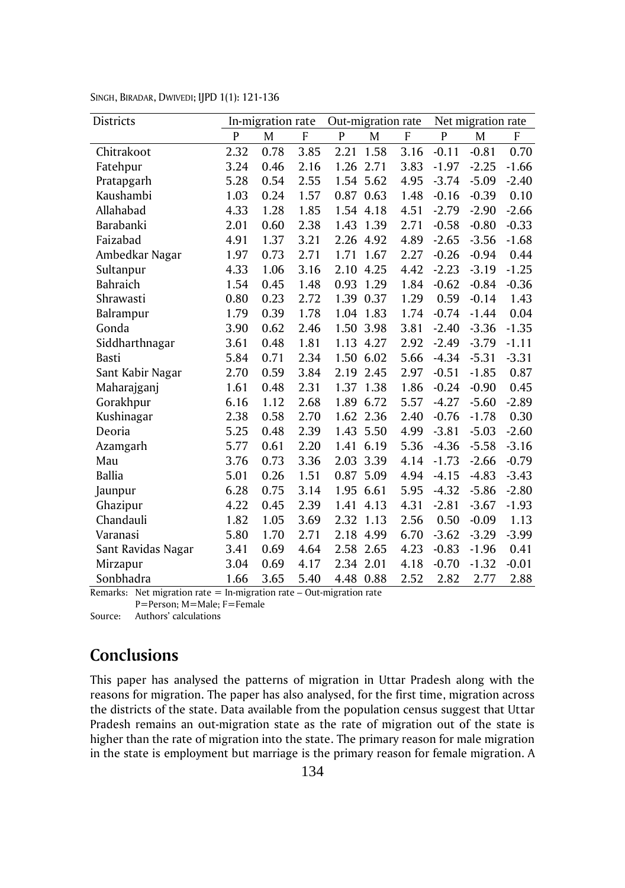| Districts          |      | In-migration rate |      | Out-migration rate |           |      |         | Net migration rate |         |
|--------------------|------|-------------------|------|--------------------|-----------|------|---------|--------------------|---------|
|                    | P    | M                 | F    | P                  | M         | F    | P       | M                  | F       |
| Chitrakoot         | 2.32 | 0.78              | 3.85 | 2.21               | 1.58      | 3.16 | $-0.11$ | $-0.81$            | 0.70    |
| Fatehpur           | 3.24 | 0.46              | 2.16 | 1.26               | 2.71      | 3.83 | $-1.97$ | $-2.25$            | $-1.66$ |
| Pratapgarh         | 5.28 | 0.54              | 2.55 | 1.54               | 5.62      | 4.95 | $-3.74$ | $-5.09$            | $-2.40$ |
| Kaushambi          | 1.03 | 0.24              | 1.57 | 0.87               | 0.63      | 1.48 | $-0.16$ | $-0.39$            | 0.10    |
| Allahabad          | 4.33 | 1.28              | 1.85 |                    | 1.54 4.18 | 4.51 | $-2.79$ | $-2.90$            | $-2.66$ |
| Barabanki          | 2.01 | 0.60              | 2.38 | 1.43               | 1.39      | 2.71 | $-0.58$ | $-0.80$            | $-0.33$ |
| Faizabad           | 4.91 | 1.37              | 3.21 | 2.26               | 4.92      | 4.89 | $-2.65$ | $-3.56$            | $-1.68$ |
| Ambedkar Nagar     | 1.97 | 0.73              | 2.71 | 1.71               | 1.67      | 2.27 | $-0.26$ | $-0.94$            | 0.44    |
| Sultanpur          | 4.33 | 1.06              | 3.16 | 2.10               | 4.25      | 4.42 | $-2.23$ | $-3.19$            | $-1.25$ |
| <b>Bahraich</b>    | 1.54 | 0.45              | 1.48 | 0.93               | 1.29      | 1.84 | $-0.62$ | $-0.84$            | $-0.36$ |
| Shrawasti          | 0.80 | 0.23              | 2.72 | 1.39               | 0.37      | 1.29 | 0.59    | $-0.14$            | 1.43    |
| Balrampur          | 1.79 | 0.39              | 1.78 | 1.04               | 1.83      | 1.74 | $-0.74$ | $-1.44$            | 0.04    |
| Gonda              | 3.90 | 0.62              | 2.46 | 1.50               | 3.98      | 3.81 | $-2.40$ | $-3.36$            | $-1.35$ |
| Siddharthnagar     | 3.61 | 0.48              | 1.81 | 1.13               | 4.27      | 2.92 | $-2.49$ | $-3.79$            | $-1.11$ |
| Basti              | 5.84 | 0.71              | 2.34 | 1.50               | 6.02      | 5.66 | $-4.34$ | $-5.31$            | $-3.31$ |
| Sant Kabir Nagar   | 2.70 | 0.59              | 3.84 | 2.19               | 2.45      | 2.97 | $-0.51$ | $-1.85$            | 0.87    |
| Maharajganj        | 1.61 | 0.48              | 2.31 | 1.37               | 1.38      | 1.86 | $-0.24$ | $-0.90$            | 0.45    |
| Gorakhpur          | 6.16 | 1.12              | 2.68 | 1.89               | 6.72      | 5.57 | $-4.27$ | $-5.60$            | $-2.89$ |
| Kushinagar         | 2.38 | 0.58              | 2.70 | 1.62               | 2.36      | 2.40 | $-0.76$ | $-1.78$            | 0.30    |
| Deoria             | 5.25 | 0.48              | 2.39 | 1.43               | 5.50      | 4.99 | $-3.81$ | $-5.03$            | $-2.60$ |
| Azamgarh           | 5.77 | 0.61              | 2.20 | 1.41               | 6.19      | 5.36 | $-4.36$ | $-5.58$            | $-3.16$ |
| Mau                | 3.76 | 0.73              | 3.36 | 2.03               | 3.39      | 4.14 | $-1.73$ | $-2.66$            | $-0.79$ |
| <b>Ballia</b>      | 5.01 | 0.26              | 1.51 | 0.87               | 5.09      | 4.94 | $-4.15$ | $-4.83$            | $-3.43$ |
| Jaunpur            | 6.28 | 0.75              | 3.14 | 1.95               | 6.61      | 5.95 | $-4.32$ | $-5.86$            | $-2.80$ |
| Ghazipur           | 4.22 | 0.45              | 2.39 | 1.41               | 4.13      | 4.31 | $-2.81$ | $-3.67$            | $-1.93$ |
| Chandauli          | 1.82 | 1.05              | 3.69 | 2.32               | 1.13      | 2.56 | 0.50    | $-0.09$            | 1.13    |
| Varanasi           | 5.80 | 1.70              | 2.71 | 2.18               | 4.99      | 6.70 | $-3.62$ | $-3.29$            | $-3.99$ |
| Sant Ravidas Nagar | 3.41 | 0.69              | 4.64 | 2.58               | 2.65      | 4.23 | $-0.83$ | $-1.96$            | 0.41    |
| Mirzapur           | 3.04 | 0.69              | 4.17 | 2.34               | 2.01      | 4.18 | $-0.70$ | $-1.32$            | $-0.01$ |
| Sonbhadra          | 1.66 | 3.65              | 5.40 | 4.48 0.88          |           | 2.52 | 2.82    | 2.77               | 2.88    |

SINGH, BIRADAR, DWIVEDI; IJPD 1(1): 121-136

Remarks: Net migration rate  $=$  In-migration rate  $-$  Out-migration rate

P=Person; M=Male; F=Female

Source: Authors' calculations

## **Conclusions**

This paper has analysed the patterns of migration in Uttar Pradesh along with the reasons for migration. The paper has also analysed, for the first time, migration across the districts of the state. Data available from the population census suggest that Uttar Pradesh remains an out-migration state as the rate of migration out of the state is higher than the rate of migration into the state. The primary reason for male migration in the state is employment but marriage is the primary reason for female migration. A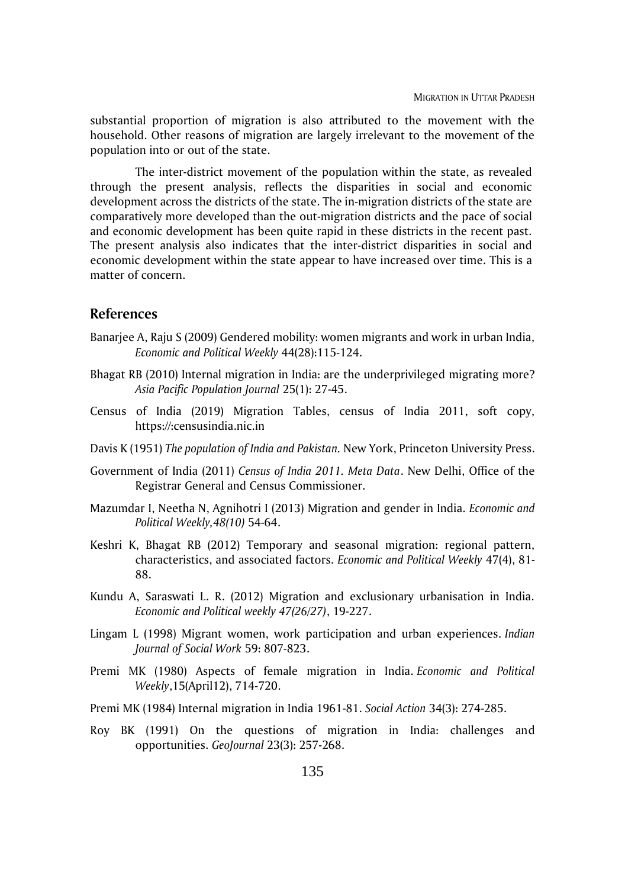substantial proportion of migration is also attributed to the movement with the household. Other reasons of migration are largely irrelevant to the movement of the population into or out of the state.

The inter-district movement of the population within the state, as revealed through the present analysis, reflects the disparities in social and economic development across the districts of the state. The in-migration districts of the state are comparatively more developed than the out-migration districts and the pace of social and economic development has been quite rapid in these districts in the recent past. The present analysis also indicates that the inter-district disparities in social and economic development within the state appear to have increased over time. This is a matter of concern.

### **References**

- Banarjee A, Raju S (2009) Gendered mobility: women migrants and work in urban India, *Economic and Political Weekly* 44(28):115-124.
- Bhagat RB (2010) Internal migration in India: are the underprivileged migrating more? *Asia Pacific Population Journal* 25(1): 27-45.
- Census of India (2019) Migration Tables, census of India 2011, soft copy, https://:censusindia.nic.in
- Davis K (1951) *The population of India and Pakistan.* New York, Princeton University Press.
- Government of India (2011) *Census of India 2011. Meta Data*. New Delhi, Office of the Registrar General and Census Commissioner.
- Mazumdar I, Neetha N, Agnihotri I (2013) Migration and gender in India. *Economic and Political Weekly,48(10)* 54-64.
- Keshri K, Bhagat RB (2012) Temporary and seasonal migration: regional pattern, characteristics, and associated factors. *Economic and Political Weekly* 47(4), 81- 88.
- Kundu A, Saraswati L. R. (2012) Migration and exclusionary urbanisation in India. *Economic and Political weekly 47(26/27)*, 19-227.
- Lingam L (1998) Migrant women, work participation and urban experiences. *Indian Journal of Social Work* 59: 807-823.
- Premi MK (1980) Aspects of female migration in India. *Economic and Political Weekly*,15(April12), 714-720.
- Premi MK (1984) Internal migration in India 1961-81. *Social Action* 34(3): 274-285.
- Roy BK (1991) On the questions of migration in India: challenges and opportunities. *GeoJournal* 23(3): 257-268.